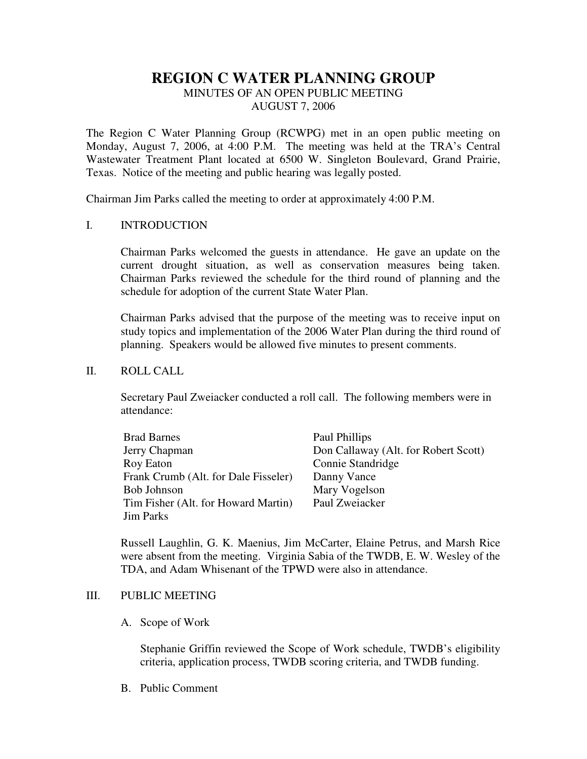# **REGION C WATER PLANNING GROUP**

## MINUTES OF AN OPEN PUBLIC MEETING AUGUST 7, 2006

The Region C Water Planning Group (RCWPG) met in an open public meeting on Monday, August 7, 2006, at 4:00 P.M. The meeting was held at the TRA's Central Wastewater Treatment Plant located at 6500 W. Singleton Boulevard, Grand Prairie, Texas. Notice of the meeting and public hearing was legally posted.

Chairman Jim Parks called the meeting to order at approximately 4:00 P.M.

### I. INTRODUCTION

Chairman Parks welcomed the guests in attendance. He gave an update on the current drought situation, as well as conservation measures being taken. Chairman Parks reviewed the schedule for the third round of planning and the schedule for adoption of the current State Water Plan.

Chairman Parks advised that the purpose of the meeting was to receive input on study topics and implementation of the 2006 Water Plan during the third round of planning. Speakers would be allowed five minutes to present comments.

## II. ROLL CALL

Secretary Paul Zweiacker conducted a roll call. The following members were in attendance:

| <b>Brad Barnes</b>                   | Paul Phillips                        |
|--------------------------------------|--------------------------------------|
| Jerry Chapman                        | Don Callaway (Alt. for Robert Scott) |
| Roy Eaton                            | Connie Standridge                    |
| Frank Crumb (Alt. for Dale Fisseler) | Danny Vance                          |
| <b>Bob Johnson</b>                   | Mary Vogelson                        |
| Tim Fisher (Alt. for Howard Martin)  | Paul Zweiacker                       |
| <b>Jim Parks</b>                     |                                      |

Russell Laughlin, G. K. Maenius, Jim McCarter, Elaine Petrus, and Marsh Rice were absent from the meeting. Virginia Sabia of the TWDB, E. W. Wesley of the TDA, and Adam Whisenant of the TPWD were also in attendance.

## III. PUBLIC MEETING

A. Scope of Work

Stephanie Griffin reviewed the Scope of Work schedule, TWDB's eligibility criteria, application process, TWDB scoring criteria, and TWDB funding.

B. Public Comment